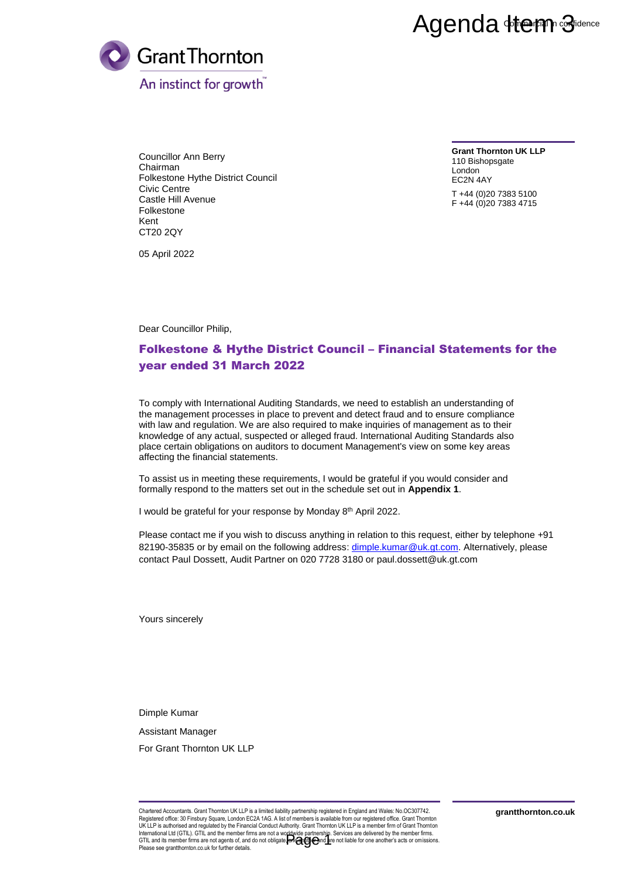## Agenda Herm Sidence



Councillor Ann Berry Chairman Folkestone Hythe District Council Civic Centre Castle Hill Avenue Folkestone Kent CT20 2QY

**Grant Thornton UK LLP** 110 Bishopsgate London EC2N 4AY

T +44 (0)20 7383 5100 F +44 (0)20 7383 4715

05 April 2022

Dear Councillor Philip,

## Folkestone & Hythe District Council – Financial Statements for the year ended 31 March 2022

To comply with International Auditing Standards, we need to establish an understanding of the management processes in place to prevent and detect fraud and to ensure compliance with law and regulation. We are also required to make inquiries of management as to their knowledge of any actual, suspected or alleged fraud. International Auditing Standards also place certain obligations on auditors to document Management's view on some key areas affecting the financial statements. **Agenda 416 PM**<br>  $\overrightarrow{9}$ <br>  $\overrightarrow{6}$ <br>  $\overrightarrow{6}$ <br>  $\overrightarrow{6}$ <br>  $\overrightarrow{6}$ <br>  $\overrightarrow{6}$ <br>  $\overrightarrow{6}$ <br>  $\overrightarrow{6}$ <br>  $\overrightarrow{6}$ <br>  $\overrightarrow{6}$ <br>  $\overrightarrow{6}$ <br>  $\overrightarrow{6}$ <br>  $\overrightarrow{6}$ <br>  $\overrightarrow{6}$ <br>  $\overrightarrow{6}$ <br>  $\overrightarrow{6}$ <br>  $\overrightarrow{6}$ <br>  $\overrightarrow{6}$ <br>  $\overrightarrow{6}$ <br>  $\overrightarrow{6}$ <br>  $\overrightarrow$ 

To assist us in meeting these requirements, I would be grateful if you would consider and formally respond to the matters set out in the schedule set out in **Appendix 1**.

I would be grateful for your response by Monday 8<sup>th</sup> April 2022.

Please contact me if you wish to discuss anything in relation to this request, either by telephone +91 82190-35835 or by email on the following address: [dimple.kumar@uk.gt.com.](mailto:dimple.kumar@uk.gt.com) Alternatively, please contact Paul Dossett, Audit Partner on 020 7728 3180 or [paul.dossett@uk.gt.com](mailto:paul.dossett@uk.gt.com) 

Yours sincerely

Dimple Kumar

Assistant Manager

For Grant Thornton UK LLP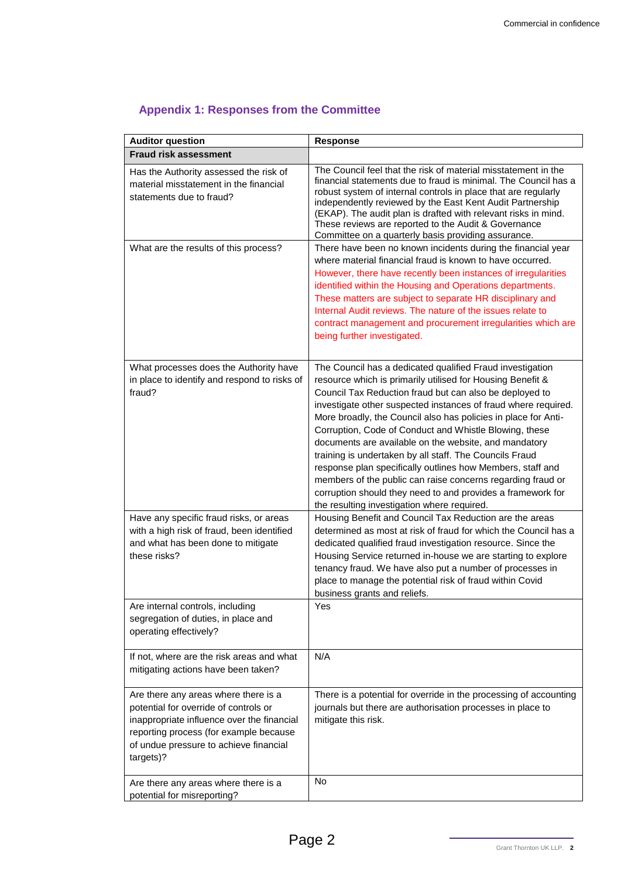| <b>Auditor question</b>                                                                                                                                                                                                      | <b>Response</b>                                                                                                                                                                                                                                                                                                                                                                                                                                                                                                                                                                                                                                                                                                                                 |
|------------------------------------------------------------------------------------------------------------------------------------------------------------------------------------------------------------------------------|-------------------------------------------------------------------------------------------------------------------------------------------------------------------------------------------------------------------------------------------------------------------------------------------------------------------------------------------------------------------------------------------------------------------------------------------------------------------------------------------------------------------------------------------------------------------------------------------------------------------------------------------------------------------------------------------------------------------------------------------------|
| <b>Fraud risk assessment</b>                                                                                                                                                                                                 |                                                                                                                                                                                                                                                                                                                                                                                                                                                                                                                                                                                                                                                                                                                                                 |
| Has the Authority assessed the risk of<br>material misstatement in the financial<br>statements due to fraud?                                                                                                                 | The Council feel that the risk of material misstatement in the<br>financial statements due to fraud is minimal. The Council has a<br>robust system of internal controls in place that are regularly<br>independently reviewed by the East Kent Audit Partnership<br>(EKAP). The audit plan is drafted with relevant risks in mind.<br>These reviews are reported to the Audit & Governance<br>Committee on a quarterly basis providing assurance.                                                                                                                                                                                                                                                                                               |
| What are the results of this process?                                                                                                                                                                                        | There have been no known incidents during the financial year<br>where material financial fraud is known to have occurred.<br>However, there have recently been instances of irregularities<br>identified within the Housing and Operations departments.<br>These matters are subject to separate HR disciplinary and<br>Internal Audit reviews. The nature of the issues relate to<br>contract management and procurement irregularities which are<br>being further investigated.                                                                                                                                                                                                                                                               |
| What processes does the Authority have<br>in place to identify and respond to risks of<br>fraud?                                                                                                                             | The Council has a dedicated qualified Fraud investigation<br>resource which is primarily utilised for Housing Benefit &<br>Council Tax Reduction fraud but can also be deployed to<br>investigate other suspected instances of fraud where required.<br>More broadly, the Council also has policies in place for Anti-<br>Corruption, Code of Conduct and Whistle Blowing, these<br>documents are available on the website, and mandatory<br>training is undertaken by all staff. The Councils Fraud<br>response plan specifically outlines how Members, staff and<br>members of the public can raise concerns regarding fraud or<br>corruption should they need to and provides a framework for<br>the resulting investigation where required. |
| Have any specific fraud risks, or areas<br>with a high risk of fraud, been identified<br>and what has been done to mitigate<br>these risks?                                                                                  | Housing Benefit and Council Tax Reduction are the areas<br>determined as most at risk of fraud for which the Council has a<br>dedicated qualified fraud investigation resource. Since the<br>Housing Service returned in-house we are starting to explore<br>tenancy fraud. We have also put a number of processes in<br>place to manage the potential risk of fraud within Covid<br>business grants and reliefs.                                                                                                                                                                                                                                                                                                                               |
| Are internal controls, including<br>segregation of duties, in place and<br>operating effectively?                                                                                                                            | Yes                                                                                                                                                                                                                                                                                                                                                                                                                                                                                                                                                                                                                                                                                                                                             |
| If not, where are the risk areas and what<br>mitigating actions have been taken?                                                                                                                                             | N/A                                                                                                                                                                                                                                                                                                                                                                                                                                                                                                                                                                                                                                                                                                                                             |
| Are there any areas where there is a<br>potential for override of controls or<br>inappropriate influence over the financial<br>reporting process (for example because<br>of undue pressure to achieve financial<br>targets)? | There is a potential for override in the processing of accounting<br>journals but there are authorisation processes in place to<br>mitigate this risk.                                                                                                                                                                                                                                                                                                                                                                                                                                                                                                                                                                                          |
| Are there any areas where there is a<br>potential for misreporting?                                                                                                                                                          | <b>No</b>                                                                                                                                                                                                                                                                                                                                                                                                                                                                                                                                                                                                                                                                                                                                       |

## **Appendix 1: Responses from the Committee**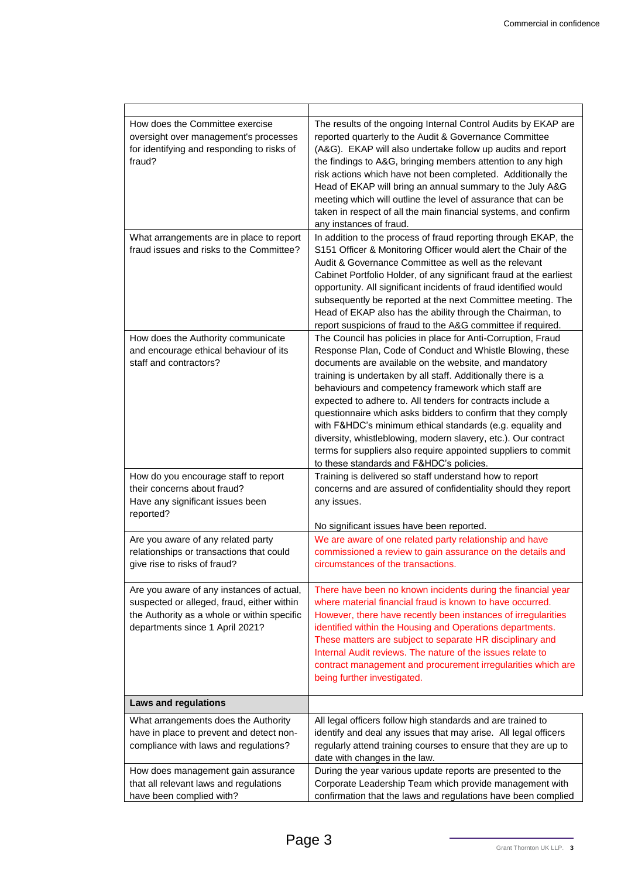| How does the Committee exercise<br>oversight over management's processes<br>for identifying and responding to risks of<br>fraud?<br>What arrangements are in place to report | The results of the ongoing Internal Control Audits by EKAP are<br>reported quarterly to the Audit & Governance Committee<br>(A&G). EKAP will also undertake follow up audits and report<br>the findings to A&G, bringing members attention to any high<br>risk actions which have not been completed. Additionally the<br>Head of EKAP will bring an annual summary to the July A&G<br>meeting which will outline the level of assurance that can be<br>taken in respect of all the main financial systems, and confirm<br>any instances of fraud.<br>In addition to the process of fraud reporting through EKAP, the                                                                |
|------------------------------------------------------------------------------------------------------------------------------------------------------------------------------|--------------------------------------------------------------------------------------------------------------------------------------------------------------------------------------------------------------------------------------------------------------------------------------------------------------------------------------------------------------------------------------------------------------------------------------------------------------------------------------------------------------------------------------------------------------------------------------------------------------------------------------------------------------------------------------|
| fraud issues and risks to the Committee?                                                                                                                                     | S151 Officer & Monitoring Officer would alert the Chair of the<br>Audit & Governance Committee as well as the relevant<br>Cabinet Portfolio Holder, of any significant fraud at the earliest<br>opportunity. All significant incidents of fraud identified would<br>subsequently be reported at the next Committee meeting. The<br>Head of EKAP also has the ability through the Chairman, to<br>report suspicions of fraud to the A&G committee if required.                                                                                                                                                                                                                        |
| How does the Authority communicate<br>and encourage ethical behaviour of its<br>staff and contractors?                                                                       | The Council has policies in place for Anti-Corruption, Fraud<br>Response Plan, Code of Conduct and Whistle Blowing, these<br>documents are available on the website, and mandatory<br>training is undertaken by all staff. Additionally there is a<br>behaviours and competency framework which staff are<br>expected to adhere to. All tenders for contracts include a<br>questionnaire which asks bidders to confirm that they comply<br>with F&HDC's minimum ethical standards (e.g. equality and<br>diversity, whistleblowing, modern slavery, etc.). Our contract<br>terms for suppliers also require appointed suppliers to commit<br>to these standards and F&HDC's policies. |
| How do you encourage staff to report<br>their concerns about fraud?<br>Have any significant issues been<br>reported?                                                         | Training is delivered so staff understand how to report<br>concerns and are assured of confidentiality should they report<br>any issues.<br>No significant issues have been reported.                                                                                                                                                                                                                                                                                                                                                                                                                                                                                                |
| Are you aware of any related party<br>relationships or transactions that could<br>give rise to risks of fraud?                                                               | We are aware of one related party relationship and have<br>commissioned a review to gain assurance on the details and<br>circumstances of the transactions.                                                                                                                                                                                                                                                                                                                                                                                                                                                                                                                          |
| Are you aware of any instances of actual,<br>suspected or alleged, fraud, either within<br>the Authority as a whole or within specific<br>departments since 1 April 2021?    | There have been no known incidents during the financial year<br>where material financial fraud is known to have occurred.<br>However, there have recently been instances of irregularities<br>identified within the Housing and Operations departments.<br>These matters are subject to separate HR disciplinary and<br>Internal Audit reviews. The nature of the issues relate to<br>contract management and procurement irregularities which are<br>being further investigated.                                                                                                                                                                                                    |
| <b>Laws and regulations</b>                                                                                                                                                  |                                                                                                                                                                                                                                                                                                                                                                                                                                                                                                                                                                                                                                                                                      |
| What arrangements does the Authority<br>have in place to prevent and detect non-<br>compliance with laws and regulations?                                                    | All legal officers follow high standards and are trained to<br>identify and deal any issues that may arise. All legal officers<br>regularly attend training courses to ensure that they are up to<br>date with changes in the law.                                                                                                                                                                                                                                                                                                                                                                                                                                                   |
| How does management gain assurance<br>that all relevant laws and regulations<br>have been complied with?                                                                     | During the year various update reports are presented to the<br>Corporate Leadership Team which provide management with<br>confirmation that the laws and regulations have been complied                                                                                                                                                                                                                                                                                                                                                                                                                                                                                              |